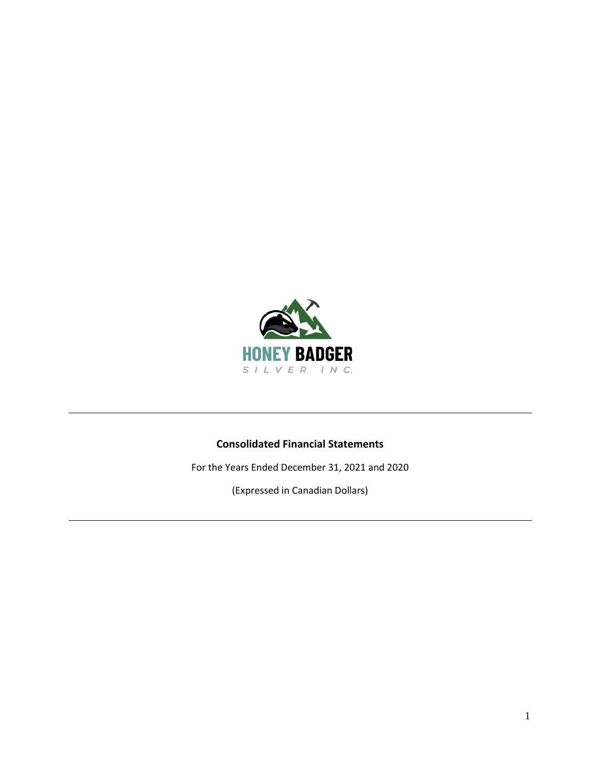

# **Consolidated Financial Statements**

For the Years Ended December 31, 2021 and 2020

(Expressed in Canadian Dollars)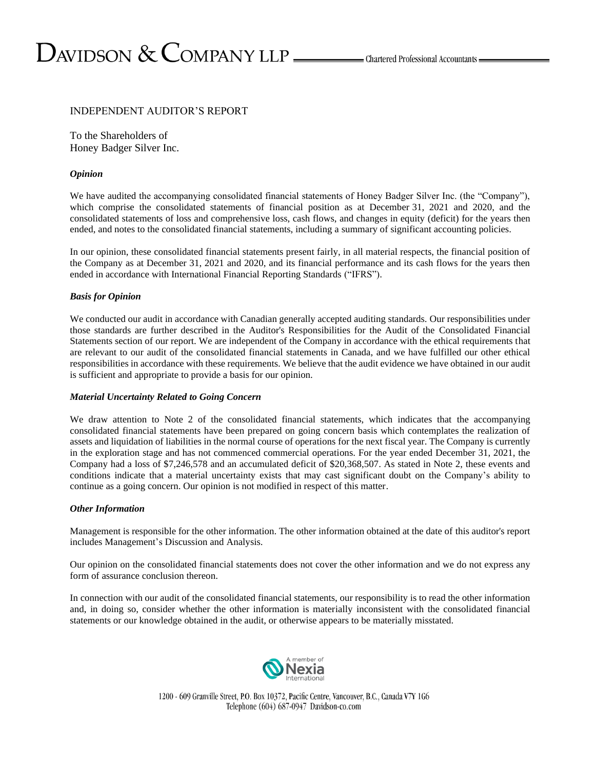# $D$ AVIDSON  $\&$  COMPANY LLP  $\_\_\_\_\$ Chartered Professional Accountants =

#### INDEPENDENT AUDITOR'S REPORT

To the Shareholders of Honey Badger Silver Inc.

#### *Opinion*

We have audited the accompanying consolidated financial statements of Honey Badger Silver Inc. (the "Company"), which comprise the consolidated statements of financial position as at December 31, 2021 and 2020, and the consolidated statements of loss and comprehensive loss, cash flows, and changes in equity (deficit) for the years then ended, and notes to the consolidated financial statements, including a summary of significant accounting policies.

In our opinion, these consolidated financial statements present fairly, in all material respects, the financial position of the Company as at December 31, 2021 and 2020, and its financial performance and its cash flows for the years then ended in accordance with International Financial Reporting Standards ("IFRS").

#### *Basis for Opinion*

We conducted our audit in accordance with Canadian generally accepted auditing standards. Our responsibilities under those standards are further described in the Auditor's Responsibilities for the Audit of the Consolidated Financial Statements section of our report. We are independent of the Company in accordance with the ethical requirements that are relevant to our audit of the consolidated financial statements in Canada, and we have fulfilled our other ethical responsibilities in accordance with these requirements. We believe that the audit evidence we have obtained in our audit is sufficient and appropriate to provide a basis for our opinion.

#### *Material Uncertainty Related to Going Concern*

We draw attention to Note 2 of the consolidated financial statements, which indicates that the accompanying consolidated financial statements have been prepared on going concern basis which contemplates the realization of assets and liquidation of liabilities in the normal course of operations for the next fiscal year. The Company is currently in the exploration stage and has not commenced commercial operations. For the year ended December 31, 2021, the Company had a loss of \$7,246,578 and an accumulated deficit of \$20,368,507. As stated in Note 2, these events and conditions indicate that a material uncertainty exists that may cast significant doubt on the Company's ability to continue as a going concern. Our opinion is not modified in respect of this matter.

#### *Other Information*

Management is responsible for the other information. The other information obtained at the date of this auditor's report includes Management's Discussion and Analysis.

Our opinion on the consolidated financial statements does not cover the other information and we do not express any form of assurance conclusion thereon.

In connection with our audit of the consolidated financial statements, our responsibility is to read the other information and, in doing so, consider whether the other information is materially inconsistent with the consolidated financial statements or our knowledge obtained in the audit, or otherwise appears to be materially misstated.



1200 - 609 Granville Street, P.O. Box 10372, Pacific Centre, Vancouver, B.C., Canada V7Y 1G6 Telephone (604) 687-0947 Davidson-co.com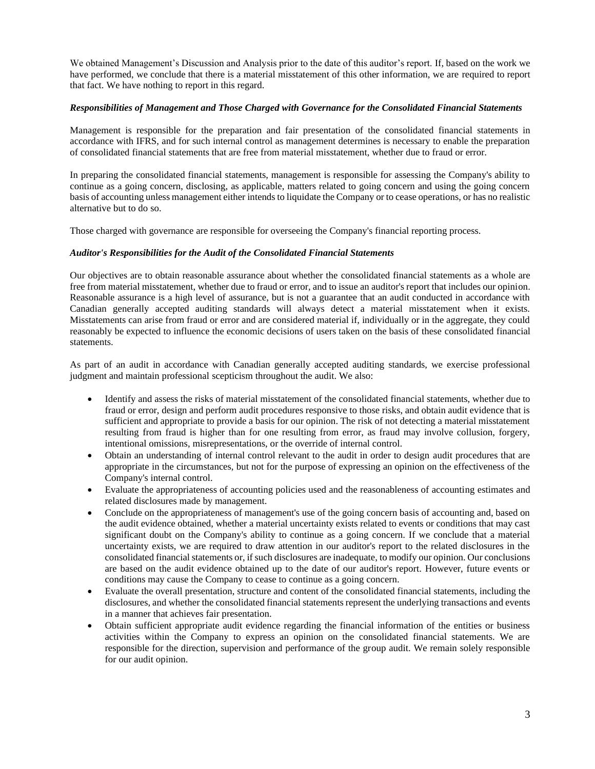We obtained Management's Discussion and Analysis prior to the date of this auditor's report. If, based on the work we have performed, we conclude that there is a material misstatement of this other information, we are required to report that fact. We have nothing to report in this regard.

#### *Responsibilities of Management and Those Charged with Governance for the Consolidated Financial Statements*

Management is responsible for the preparation and fair presentation of the consolidated financial statements in accordance with IFRS, and for such internal control as management determines is necessary to enable the preparation of consolidated financial statements that are free from material misstatement, whether due to fraud or error.

In preparing the consolidated financial statements, management is responsible for assessing the Company's ability to continue as a going concern, disclosing, as applicable, matters related to going concern and using the going concern basis of accounting unless management either intends to liquidate the Company or to cease operations, or has no realistic alternative but to do so.

Those charged with governance are responsible for overseeing the Company's financial reporting process.

#### *Auditor's Responsibilities for the Audit of the Consolidated Financial Statements*

Our objectives are to obtain reasonable assurance about whether the consolidated financial statements as a whole are free from material misstatement, whether due to fraud or error, and to issue an auditor's report that includes our opinion. Reasonable assurance is a high level of assurance, but is not a guarantee that an audit conducted in accordance with Canadian generally accepted auditing standards will always detect a material misstatement when it exists. Misstatements can arise from fraud or error and are considered material if, individually or in the aggregate, they could reasonably be expected to influence the economic decisions of users taken on the basis of these consolidated financial statements.

As part of an audit in accordance with Canadian generally accepted auditing standards, we exercise professional judgment and maintain professional scepticism throughout the audit. We also:

- Identify and assess the risks of material misstatement of the consolidated financial statements, whether due to fraud or error, design and perform audit procedures responsive to those risks, and obtain audit evidence that is sufficient and appropriate to provide a basis for our opinion. The risk of not detecting a material misstatement resulting from fraud is higher than for one resulting from error, as fraud may involve collusion, forgery, intentional omissions, misrepresentations, or the override of internal control.
- Obtain an understanding of internal control relevant to the audit in order to design audit procedures that are appropriate in the circumstances, but not for the purpose of expressing an opinion on the effectiveness of the Company's internal control.
- Evaluate the appropriateness of accounting policies used and the reasonableness of accounting estimates and related disclosures made by management.
- Conclude on the appropriateness of management's use of the going concern basis of accounting and, based on the audit evidence obtained, whether a material uncertainty exists related to events or conditions that may cast significant doubt on the Company's ability to continue as a going concern. If we conclude that a material uncertainty exists, we are required to draw attention in our auditor's report to the related disclosures in the consolidated financial statements or, if such disclosures are inadequate, to modify our opinion. Our conclusions are based on the audit evidence obtained up to the date of our auditor's report. However, future events or conditions may cause the Company to cease to continue as a going concern.
- Evaluate the overall presentation, structure and content of the consolidated financial statements, including the disclosures, and whether the consolidated financial statements represent the underlying transactions and events in a manner that achieves fair presentation.
- Obtain sufficient appropriate audit evidence regarding the financial information of the entities or business activities within the Company to express an opinion on the consolidated financial statements. We are responsible for the direction, supervision and performance of the group audit. We remain solely responsible for our audit opinion.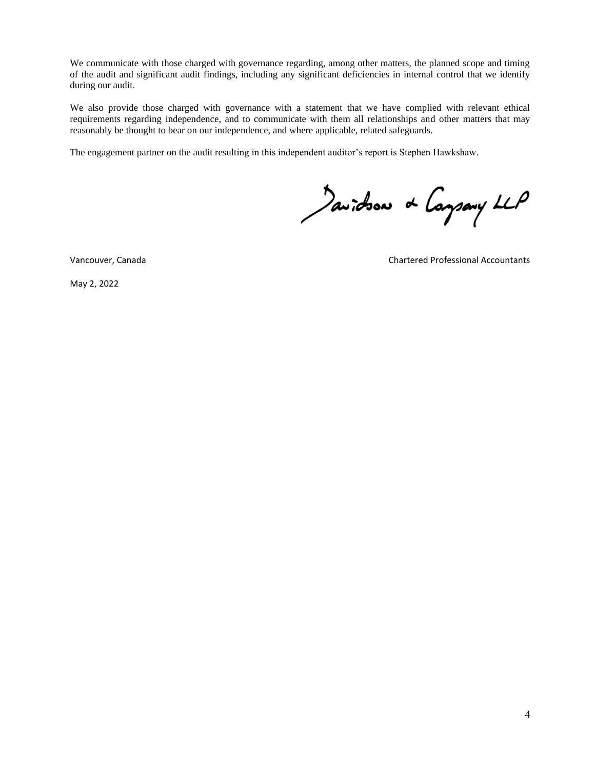We communicate with those charged with governance regarding, among other matters, the planned scope and timing of the audit and significant audit findings, including any significant deficiencies in internal control that we identify during our audit.

We also provide those charged with governance with a statement that we have complied with relevant ethical requirements regarding independence, and to communicate with them all relationships and other matters that may reasonably be thought to bear on our independence, and where applicable, related safeguards.

The engagement partner on the audit resulting in this independent auditor's report is Stephen Hawkshaw.

Javidson & Caysary LLP

Vancouver, Canada Chartered Professional Accountants

May 2, 2022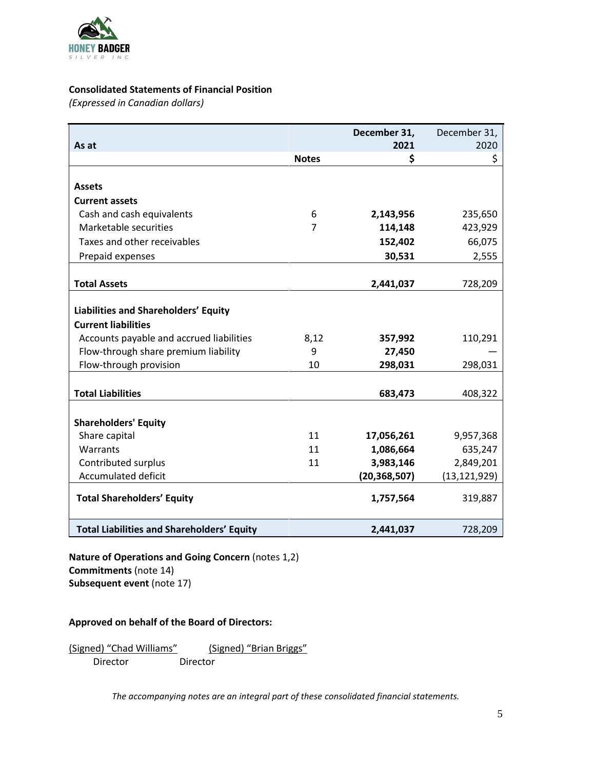

#### **Consolidated Statements of Financial Position**

*(Expressed in Canadian dollars)*

|                                                   |              | December 31,   | December 31,   |
|---------------------------------------------------|--------------|----------------|----------------|
| As at                                             |              | 2021           | 2020           |
|                                                   | <b>Notes</b> | \$             | \$             |
|                                                   |              |                |                |
| <b>Assets</b>                                     |              |                |                |
| <b>Current assets</b>                             |              |                |                |
| Cash and cash equivalents                         | 6            | 2,143,956      | 235,650        |
| Marketable securities                             | 7            | 114,148        | 423,929        |
| Taxes and other receivables                       |              | 152,402        | 66,075         |
| Prepaid expenses                                  |              | 30,531         | 2,555          |
|                                                   |              |                |                |
| <b>Total Assets</b>                               |              | 2,441,037      | 728,209        |
|                                                   |              |                |                |
| Liabilities and Shareholders' Equity              |              |                |                |
| <b>Current liabilities</b>                        |              |                |                |
| Accounts payable and accrued liabilities          | 8,12         | 357,992        | 110,291        |
| Flow-through share premium liability              | 9            | 27,450         |                |
| Flow-through provision                            | 10           | 298,031        | 298,031        |
|                                                   |              |                |                |
| <b>Total Liabilities</b>                          |              | 683,473        | 408,322        |
|                                                   |              |                |                |
| <b>Shareholders' Equity</b>                       |              |                |                |
| Share capital                                     | 11           | 17,056,261     | 9,957,368      |
| Warrants                                          | 11           | 1,086,664      | 635,247        |
| Contributed surplus                               | 11           | 3,983,146      | 2,849,201      |
| Accumulated deficit                               |              | (20, 368, 507) | (13, 121, 929) |
|                                                   |              |                |                |
| <b>Total Shareholders' Equity</b>                 |              | 1,757,564      | 319,887        |
| <b>Total Liabilities and Shareholders' Equity</b> |              | 2,441,037      | 728,209        |

**Nature of Operations and Going Concern** (notes 1,2)

**Commitments** (note 14)

**Subsequent event** (note 17)

# **Approved on behalf of the Board of Directors:**

(Signed) "Chad Williams" (Signed) "Brian Briggs" Director Director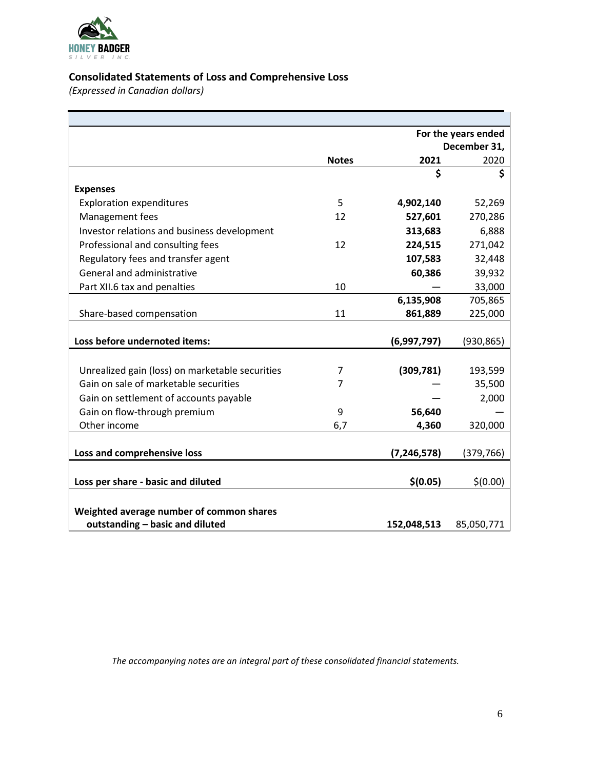

# **Consolidated Statements of Loss and Comprehensive Loss**

*(Expressed in Canadian dollars)*

|                                                 |              |               | For the years ended |
|-------------------------------------------------|--------------|---------------|---------------------|
|                                                 |              |               | December 31,        |
|                                                 | <b>Notes</b> | 2021          | 2020                |
|                                                 |              | \$            | \$                  |
| <b>Expenses</b>                                 |              |               |                     |
| <b>Exploration expenditures</b>                 | 5            | 4,902,140     | 52,269              |
| Management fees                                 | 12           | 527,601       | 270,286             |
| Investor relations and business development     |              | 313,683       | 6,888               |
| Professional and consulting fees                | 12           | 224,515       | 271,042             |
| Regulatory fees and transfer agent              |              | 107,583       | 32,448              |
| General and administrative                      |              | 60,386        | 39,932              |
| Part XII.6 tax and penalties                    | 10           |               | 33,000              |
|                                                 |              | 6,135,908     | 705,865             |
| Share-based compensation                        | 11           | 861,889       | 225,000             |
|                                                 |              |               |                     |
| Loss before undernoted items:                   |              | (6,997,797)   | (930, 865)          |
|                                                 |              |               |                     |
| Unrealized gain (loss) on marketable securities | 7            | (309, 781)    | 193,599             |
| Gain on sale of marketable securities           | 7            |               | 35,500              |
| Gain on settlement of accounts payable          |              |               | 2,000               |
| Gain on flow-through premium                    | 9            | 56,640        |                     |
| Other income                                    | 6,7          | 4,360         | 320,000             |
|                                                 |              |               |                     |
| Loss and comprehensive loss                     |              | (7, 246, 578) | (379, 766)          |
|                                                 |              |               |                     |
| Loss per share - basic and diluted              |              | \$(0.05)      | \$(0.00)            |
|                                                 |              |               |                     |
| Weighted average number of common shares        |              |               |                     |
| outstanding - basic and diluted                 |              | 152,048,513   | 85,050,771          |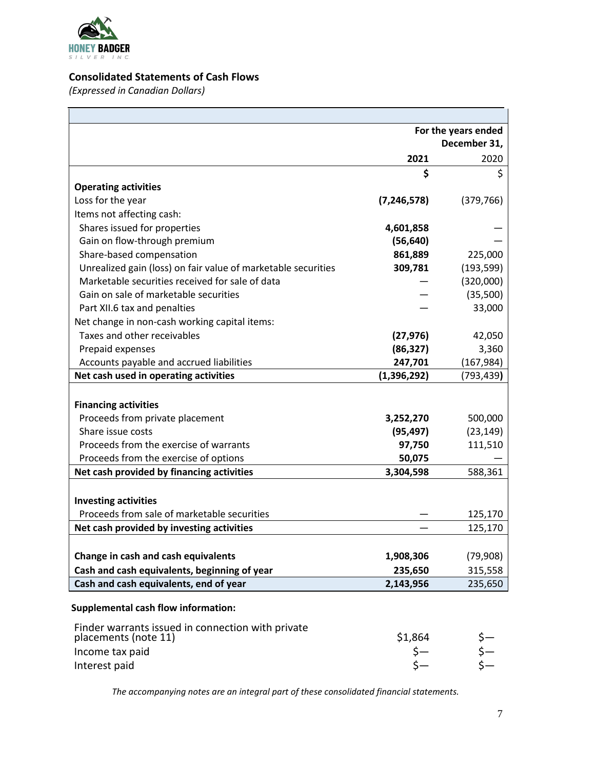

# **Consolidated Statements of Cash Flows**

*(Expressed in Canadian Dollars)*

|                                                               |               | For the years ended |
|---------------------------------------------------------------|---------------|---------------------|
|                                                               |               | December 31,        |
|                                                               | 2021          | 2020                |
|                                                               | \$            | \$                  |
| <b>Operating activities</b>                                   |               |                     |
| Loss for the year                                             | (7, 246, 578) | (379, 766)          |
| Items not affecting cash:                                     |               |                     |
| Shares issued for properties                                  | 4,601,858     |                     |
| Gain on flow-through premium                                  | (56, 640)     |                     |
| Share-based compensation                                      | 861,889       | 225,000             |
| Unrealized gain (loss) on fair value of marketable securities | 309,781       | (193, 599)          |
| Marketable securities received for sale of data               |               | (320,000)           |
| Gain on sale of marketable securities                         |               | (35,500)            |
| Part XII.6 tax and penalties                                  |               | 33,000              |
| Net change in non-cash working capital items:                 |               |                     |
| Taxes and other receivables                                   | (27, 976)     | 42,050              |
| Prepaid expenses                                              | (86, 327)     | 3,360               |
| Accounts payable and accrued liabilities                      | 247,701       | (167, 984)          |
| Net cash used in operating activities                         | (1, 396, 292) | (793, 439)          |
|                                                               |               |                     |
| <b>Financing activities</b>                                   |               |                     |
| Proceeds from private placement                               | 3,252,270     | 500,000             |
| Share issue costs                                             | (95, 497)     | (23, 149)           |
| Proceeds from the exercise of warrants                        | 97,750        | 111,510             |
| Proceeds from the exercise of options                         | 50,075        |                     |
| Net cash provided by financing activities                     | 3,304,598     | 588,361             |
|                                                               |               |                     |
| <b>Investing activities</b>                                   |               |                     |
| Proceeds from sale of marketable securities                   |               | 125,170             |
| Net cash provided by investing activities                     |               | 125,170             |
|                                                               |               |                     |
| Change in cash and cash equivalents                           | 1,908,306     | (79, 908)           |
| Cash and cash equivalents, beginning of year                  | 235,650       | 315,558             |
| Cash and cash equivalents, end of year                        | 2,143,956     | 235,650             |
|                                                               |               |                     |
| <b>Supplemental cash flow information:</b>                    |               |                     |
| Finder warrants issued in connection with private             |               |                     |
| placements (note 11)                                          | \$1,864       |                     |
| Income tax paid                                               | \$—           |                     |
| Interest paid                                                 | $\zeta$       |                     |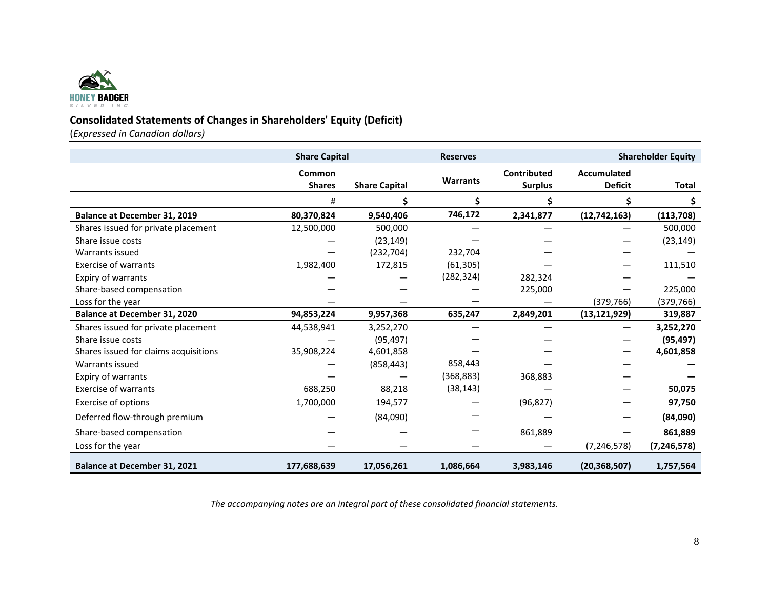

# **Consolidated Statements of Changes in Shareholders' Equity (Deficit)**

(*Expressed in Canadian dollars)*

|                                       | <b>Share Capital</b>    |                      | <b>Reserves</b> |                                      |                                      | <b>Shareholder Equity</b> |
|---------------------------------------|-------------------------|----------------------|-----------------|--------------------------------------|--------------------------------------|---------------------------|
|                                       | Common<br><b>Shares</b> | <b>Share Capital</b> | <b>Warrants</b> | <b>Contributed</b><br><b>Surplus</b> | <b>Accumulated</b><br><b>Deficit</b> | <b>Total</b>              |
|                                       | #                       | Ś                    | S               |                                      | Ś                                    | \$                        |
| <b>Balance at December 31, 2019</b>   | 80,370,824              | 9,540,406            | 746,172         | 2,341,877                            | (12, 742, 163)                       | (113, 708)                |
| Shares issued for private placement   | 12,500,000              | 500,000              |                 |                                      |                                      | 500,000                   |
| Share issue costs                     |                         | (23, 149)            |                 |                                      |                                      | (23, 149)                 |
| Warrants issued                       |                         | (232, 704)           | 232,704         |                                      |                                      |                           |
| <b>Exercise of warrants</b>           | 1,982,400               | 172,815              | (61, 305)       |                                      |                                      | 111,510                   |
| Expiry of warrants                    |                         |                      | (282, 324)      | 282,324                              |                                      |                           |
| Share-based compensation              |                         |                      |                 | 225,000                              |                                      | 225,000                   |
| Loss for the year                     |                         |                      |                 |                                      | (379, 766)                           | (379,766)                 |
| <b>Balance at December 31, 2020</b>   | 94,853,224              | 9,957,368            | 635,247         | 2,849,201                            | (13, 121, 929)                       | 319,887                   |
| Shares issued for private placement   | 44,538,941              | 3,252,270            |                 |                                      |                                      | 3,252,270                 |
| Share issue costs                     |                         | (95, 497)            |                 |                                      |                                      | (95, 497)                 |
| Shares issued for claims acquisitions | 35,908,224              | 4,601,858            |                 |                                      |                                      | 4,601,858                 |
| Warrants issued                       |                         | (858, 443)           | 858,443         |                                      |                                      |                           |
| Expiry of warrants                    |                         |                      | (368, 883)      | 368,883                              |                                      |                           |
| <b>Exercise of warrants</b>           | 688,250                 | 88,218               | (38, 143)       |                                      |                                      | 50,075                    |
| Exercise of options                   | 1,700,000               | 194,577              |                 | (96, 827)                            |                                      | 97,750                    |
| Deferred flow-through premium         |                         | (84,090)             |                 |                                      |                                      | (84,090)                  |
| Share-based compensation              |                         |                      |                 | 861,889                              |                                      | 861,889                   |
| Loss for the year                     |                         |                      |                 |                                      | (7, 246, 578)                        | (7, 246, 578)             |
| <b>Balance at December 31, 2021</b>   | 177,688,639             | 17,056,261           | 1,086,664       | 3,983,146                            | (20, 368, 507)                       | 1,757,564                 |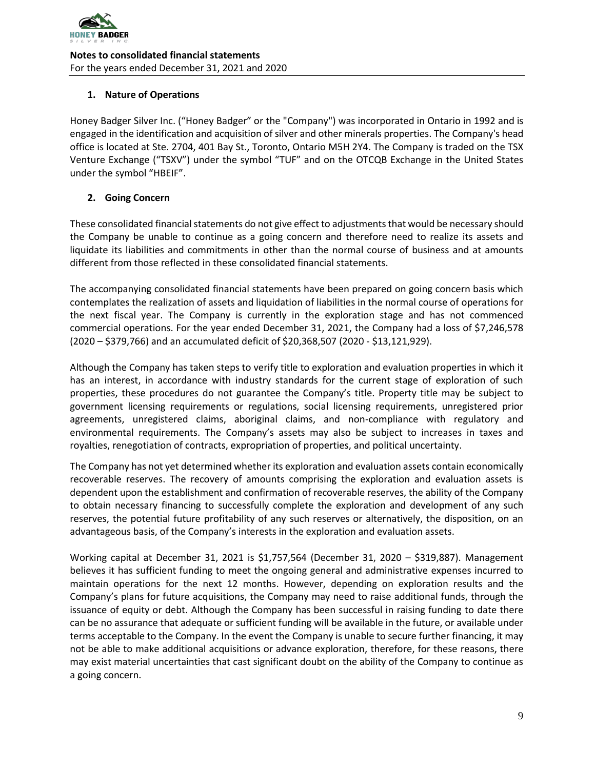

# **1. Nature of Operations**

Honey Badger Silver Inc. ("Honey Badger" or the "Company") was incorporated in Ontario in 1992 and is engaged in the identification and acquisition of silver and other minerals properties. The Company's head office is located at Ste. 2704, 401 Bay St., Toronto, Ontario M5H 2Y4. The Company is traded on the TSX Venture Exchange ("TSXV") under the symbol "TUF" and on the OTCQB Exchange in the United States under the symbol "HBEIF".

#### **2. Going Concern**

These consolidated financial statements do not give effect to adjustments that would be necessary should the Company be unable to continue as a going concern and therefore need to realize its assets and liquidate its liabilities and commitments in other than the normal course of business and at amounts different from those reflected in these consolidated financial statements.

The accompanying consolidated financial statements have been prepared on going concern basis which contemplates the realization of assets and liquidation of liabilities in the normal course of operations for the next fiscal year. The Company is currently in the exploration stage and has not commenced commercial operations. For the year ended December 31, 2021, the Company had a loss of \$7,246,578 (2020 – \$379,766) and an accumulated deficit of \$20,368,507 (2020 - \$13,121,929).

Although the Company has taken steps to verify title to exploration and evaluation properties in which it has an interest, in accordance with industry standards for the current stage of exploration of such properties, these procedures do not guarantee the Company's title. Property title may be subject to government licensing requirements or regulations, social licensing requirements, unregistered prior agreements, unregistered claims, aboriginal claims, and non-compliance with regulatory and environmental requirements. The Company's assets may also be subject to increases in taxes and royalties, renegotiation of contracts, expropriation of properties, and political uncertainty.

The Company has not yet determined whether its exploration and evaluation assets contain economically recoverable reserves. The recovery of amounts comprising the exploration and evaluation assets is dependent upon the establishment and confirmation of recoverable reserves, the ability of the Company to obtain necessary financing to successfully complete the exploration and development of any such reserves, the potential future profitability of any such reserves or alternatively, the disposition, on an advantageous basis, of the Company's interests in the exploration and evaluation assets.

Working capital at December 31, 2021 is \$1,757,564 (December 31, 2020 – \$319,887). Management believes it has sufficient funding to meet the ongoing general and administrative expenses incurred to maintain operations for the next 12 months. However, depending on exploration results and the Company's plans for future acquisitions, the Company may need to raise additional funds, through the issuance of equity or debt. Although the Company has been successful in raising funding to date there can be no assurance that adequate or sufficient funding will be available in the future, or available under terms acceptable to the Company. In the event the Company is unable to secure further financing, it may not be able to make additional acquisitions or advance exploration, therefore, for these reasons, there may exist material uncertainties that cast significant doubt on the ability of the Company to continue as a going concern.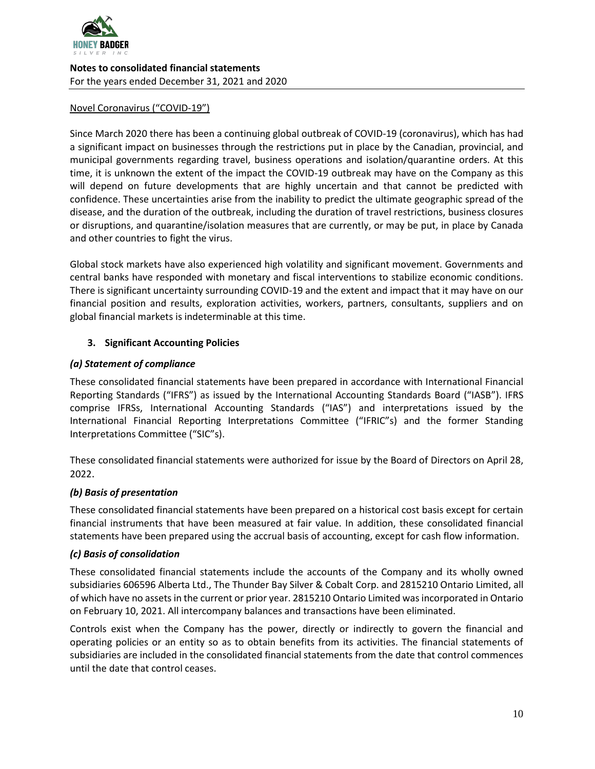

#### Novel Coronavirus ("COVID-19")

Since March 2020 there has been a continuing global outbreak of COVID-19 (coronavirus), which has had a significant impact on businesses through the restrictions put in place by the Canadian, provincial, and municipal governments regarding travel, business operations and isolation/quarantine orders. At this time, it is unknown the extent of the impact the COVID-19 outbreak may have on the Company as this will depend on future developments that are highly uncertain and that cannot be predicted with confidence. These uncertainties arise from the inability to predict the ultimate geographic spread of the disease, and the duration of the outbreak, including the duration of travel restrictions, business closures or disruptions, and quarantine/isolation measures that are currently, or may be put, in place by Canada and other countries to fight the virus.

Global stock markets have also experienced high volatility and significant movement. Governments and central banks have responded with monetary and fiscal interventions to stabilize economic conditions. There is significant uncertainty surrounding COVID-19 and the extent and impact that it may have on our financial position and results, exploration activities, workers, partners, consultants, suppliers and on global financial markets is indeterminable at this time.

# **3. Significant Accounting Policies**

# *(a) Statement of compliance*

These consolidated financial statements have been prepared in accordance with International Financial Reporting Standards ("IFRS") as issued by the International Accounting Standards Board ("IASB"). IFRS comprise IFRSs, International Accounting Standards ("IAS") and interpretations issued by the International Financial Reporting Interpretations Committee ("IFRIC"s) and the former Standing Interpretations Committee ("SIC"s).

These consolidated financial statements were authorized for issue by the Board of Directors on April 28, 2022.

#### *(b) Basis of presentation*

These consolidated financial statements have been prepared on a historical cost basis except for certain financial instruments that have been measured at fair value. In addition, these consolidated financial statements have been prepared using the accrual basis of accounting, except for cash flow information.

#### *(c) Basis of consolidation*

These consolidated financial statements include the accounts of the Company and its wholly owned subsidiaries 606596 Alberta Ltd., The Thunder Bay Silver & Cobalt Corp. and 2815210 Ontario Limited, all of which have no assets in the current or prior year. 2815210 Ontario Limited was incorporated in Ontario on February 10, 2021. All intercompany balances and transactions have been eliminated.

Controls exist when the Company has the power, directly or indirectly to govern the financial and operating policies or an entity so as to obtain benefits from its activities. The financial statements of subsidiaries are included in the consolidated financial statements from the date that control commences until the date that control ceases.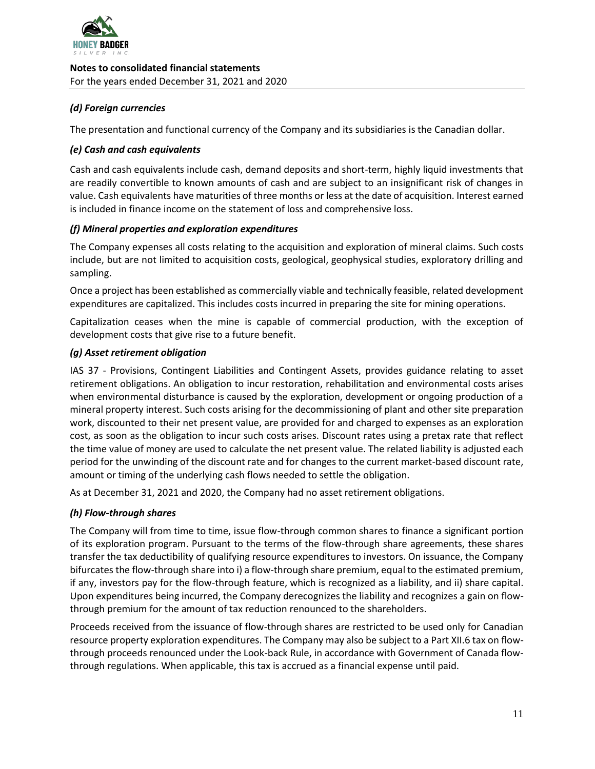

# *(d) Foreign currencies*

The presentation and functional currency of the Company and its subsidiaries is the Canadian dollar.

# *(e) Cash and cash equivalents*

Cash and cash equivalents include cash, demand deposits and short-term, highly liquid investments that are readily convertible to known amounts of cash and are subject to an insignificant risk of changes in value. Cash equivalents have maturities of three months or less at the date of acquisition. Interest earned is included in finance income on the statement of loss and comprehensive loss.

# *(f) Mineral properties and exploration expenditures*

The Company expenses all costs relating to the acquisition and exploration of mineral claims. Such costs include, but are not limited to acquisition costs, geological, geophysical studies, exploratory drilling and sampling.

Once a project has been established as commercially viable and technically feasible, related development expenditures are capitalized. This includes costs incurred in preparing the site for mining operations.

Capitalization ceases when the mine is capable of commercial production, with the exception of development costs that give rise to a future benefit.

# *(g) Asset retirement obligation*

IAS 37 - Provisions, Contingent Liabilities and Contingent Assets, provides guidance relating to asset retirement obligations. An obligation to incur restoration, rehabilitation and environmental costs arises when environmental disturbance is caused by the exploration, development or ongoing production of a mineral property interest. Such costs arising for the decommissioning of plant and other site preparation work, discounted to their net present value, are provided for and charged to expenses as an exploration cost, as soon as the obligation to incur such costs arises. Discount rates using a pretax rate that reflect the time value of money are used to calculate the net present value. The related liability is adjusted each period for the unwinding of the discount rate and for changes to the current market-based discount rate, amount or timing of the underlying cash flows needed to settle the obligation.

As at December 31, 2021 and 2020, the Company had no asset retirement obligations.

# *(h) Flow-through shares*

The Company will from time to time, issue flow-through common shares to finance a significant portion of its exploration program. Pursuant to the terms of the flow-through share agreements, these shares transfer the tax deductibility of qualifying resource expenditures to investors. On issuance, the Company bifurcates the flow-through share into i) a flow-through share premium, equal to the estimated premium, if any, investors pay for the flow-through feature, which is recognized as a liability, and ii) share capital. Upon expenditures being incurred, the Company derecognizes the liability and recognizes a gain on flowthrough premium for the amount of tax reduction renounced to the shareholders.

Proceeds received from the issuance of flow-through shares are restricted to be used only for Canadian resource property exploration expenditures. The Company may also be subject to a Part XII.6 tax on flowthrough proceeds renounced under the Look-back Rule, in accordance with Government of Canada flowthrough regulations. When applicable, this tax is accrued as a financial expense until paid.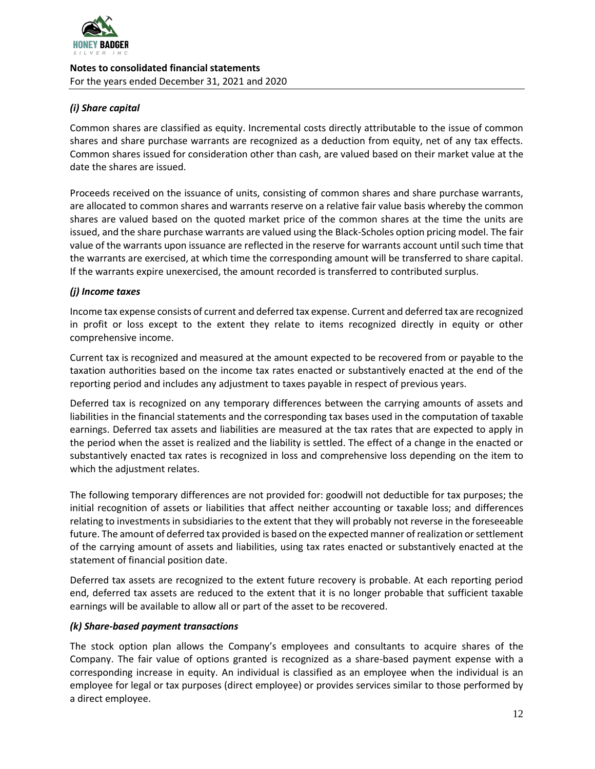

# *(i) Share capital*

Common shares are classified as equity. Incremental costs directly attributable to the issue of common shares and share purchase warrants are recognized as a deduction from equity, net of any tax effects. Common shares issued for consideration other than cash, are valued based on their market value at the date the shares are issued.

Proceeds received on the issuance of units, consisting of common shares and share purchase warrants, are allocated to common shares and warrants reserve on a relative fair value basis whereby the common shares are valued based on the quoted market price of the common shares at the time the units are issued, and the share purchase warrants are valued using the Black-Scholes option pricing model. The fair value of the warrants upon issuance are reflected in the reserve for warrants account until such time that the warrants are exercised, at which time the corresponding amount will be transferred to share capital. If the warrants expire unexercised, the amount recorded is transferred to contributed surplus.

#### *(j) Income taxes*

Income tax expense consists of current and deferred tax expense. Current and deferred tax are recognized in profit or loss except to the extent they relate to items recognized directly in equity or other comprehensive income.

Current tax is recognized and measured at the amount expected to be recovered from or payable to the taxation authorities based on the income tax rates enacted or substantively enacted at the end of the reporting period and includes any adjustment to taxes payable in respect of previous years.

Deferred tax is recognized on any temporary differences between the carrying amounts of assets and liabilities in the financial statements and the corresponding tax bases used in the computation of taxable earnings. Deferred tax assets and liabilities are measured at the tax rates that are expected to apply in the period when the asset is realized and the liability is settled. The effect of a change in the enacted or substantively enacted tax rates is recognized in loss and comprehensive loss depending on the item to which the adjustment relates.

The following temporary differences are not provided for: goodwill not deductible for tax purposes; the initial recognition of assets or liabilities that affect neither accounting or taxable loss; and differences relating to investments in subsidiaries to the extent that they will probably not reverse in the foreseeable future. The amount of deferred tax provided is based on the expected manner of realization or settlement of the carrying amount of assets and liabilities, using tax rates enacted or substantively enacted at the statement of financial position date.

Deferred tax assets are recognized to the extent future recovery is probable. At each reporting period end, deferred tax assets are reduced to the extent that it is no longer probable that sufficient taxable earnings will be available to allow all or part of the asset to be recovered.

# *(k) Share-based payment transactions*

The stock option plan allows the Company's employees and consultants to acquire shares of the Company. The fair value of options granted is recognized as a share-based payment expense with a corresponding increase in equity. An individual is classified as an employee when the individual is an employee for legal or tax purposes (direct employee) or provides services similar to those performed by a direct employee.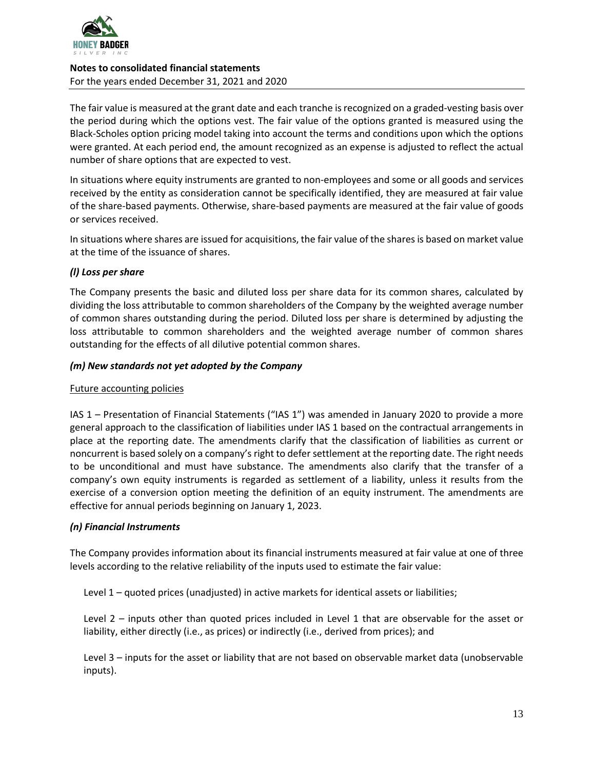

The fair value is measured at the grant date and each tranche is recognized on a graded-vesting basis over the period during which the options vest. The fair value of the options granted is measured using the Black-Scholes option pricing model taking into account the terms and conditions upon which the options were granted. At each period end, the amount recognized as an expense is adjusted to reflect the actual number of share options that are expected to vest.

In situations where equity instruments are granted to non-employees and some or all goods and services received by the entity as consideration cannot be specifically identified, they are measured at fair value of the share-based payments. Otherwise, share-based payments are measured at the fair value of goods or services received.

In situations where shares are issued for acquisitions, the fair value of the shares is based on market value at the time of the issuance of shares.

# *(l) Loss per share*

The Company presents the basic and diluted loss per share data for its common shares, calculated by dividing the loss attributable to common shareholders of the Company by the weighted average number of common shares outstanding during the period. Diluted loss per share is determined by adjusting the loss attributable to common shareholders and the weighted average number of common shares outstanding for the effects of all dilutive potential common shares.

#### *(m) New standards not yet adopted by the Company*

#### Future accounting policies

IAS 1 – Presentation of Financial Statements ("IAS 1") was amended in January 2020 to provide a more general approach to the classification of liabilities under IAS 1 based on the contractual arrangements in place at the reporting date. The amendments clarify that the classification of liabilities as current or noncurrent is based solely on a company's right to defer settlement at the reporting date. The right needs to be unconditional and must have substance. The amendments also clarify that the transfer of a company's own equity instruments is regarded as settlement of a liability, unless it results from the exercise of a conversion option meeting the definition of an equity instrument. The amendments are effective for annual periods beginning on January 1, 2023.

#### *(n) Financial Instruments*

The Company provides information about its financial instruments measured at fair value at one of three levels according to the relative reliability of the inputs used to estimate the fair value:

Level 1 – quoted prices (unadjusted) in active markets for identical assets or liabilities;

Level 2 – inputs other than quoted prices included in Level 1 that are observable for the asset or liability, either directly (i.e., as prices) or indirectly (i.e., derived from prices); and

Level 3 – inputs for the asset or liability that are not based on observable market data (unobservable inputs).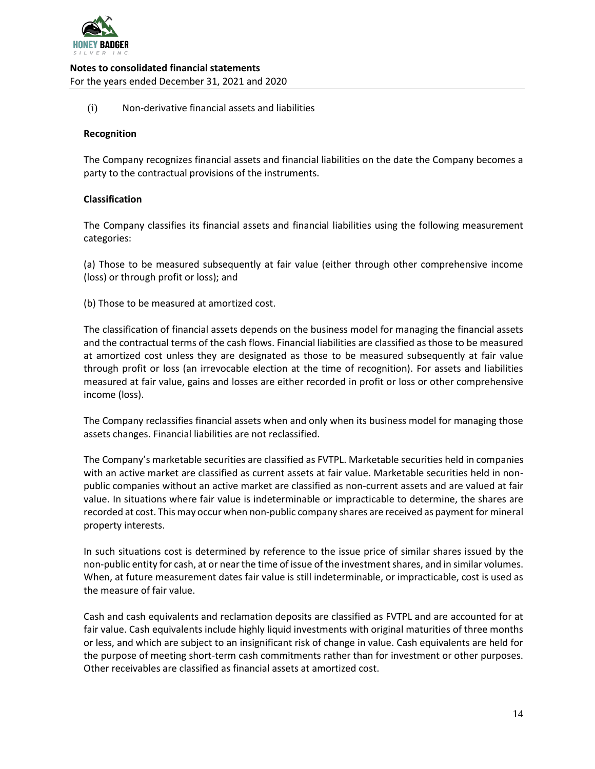

#### (i) Non-derivative financial assets and liabilities

#### **Recognition**

The Company recognizes financial assets and financial liabilities on the date the Company becomes a party to the contractual provisions of the instruments.

#### **Classification**

The Company classifies its financial assets and financial liabilities using the following measurement categories:

(a) Those to be measured subsequently at fair value (either through other comprehensive income (loss) or through profit or loss); and

(b) Those to be measured at amortized cost.

The classification of financial assets depends on the business model for managing the financial assets and the contractual terms of the cash flows. Financial liabilities are classified as those to be measured at amortized cost unless they are designated as those to be measured subsequently at fair value through profit or loss (an irrevocable election at the time of recognition). For assets and liabilities measured at fair value, gains and losses are either recorded in profit or loss or other comprehensive income (loss).

The Company reclassifies financial assets when and only when its business model for managing those assets changes. Financial liabilities are not reclassified.

The Company's marketable securities are classified as FVTPL. Marketable securities held in companies with an active market are classified as current assets at fair value. Marketable securities held in nonpublic companies without an active market are classified as non-current assets and are valued at fair value. In situations where fair value is indeterminable or impracticable to determine, the shares are recorded at cost. This may occur when non-public company shares are received as payment for mineral property interests.

In such situations cost is determined by reference to the issue price of similar shares issued by the non-public entity for cash, at or near the time of issue of the investment shares, and in similar volumes. When, at future measurement dates fair value is still indeterminable, or impracticable, cost is used as the measure of fair value.

Cash and cash equivalents and reclamation deposits are classified as FVTPL and are accounted for at fair value. Cash equivalents include highly liquid investments with original maturities of three months or less, and which are subject to an insignificant risk of change in value. Cash equivalents are held for the purpose of meeting short-term cash commitments rather than for investment or other purposes. Other receivables are classified as financial assets at amortized cost.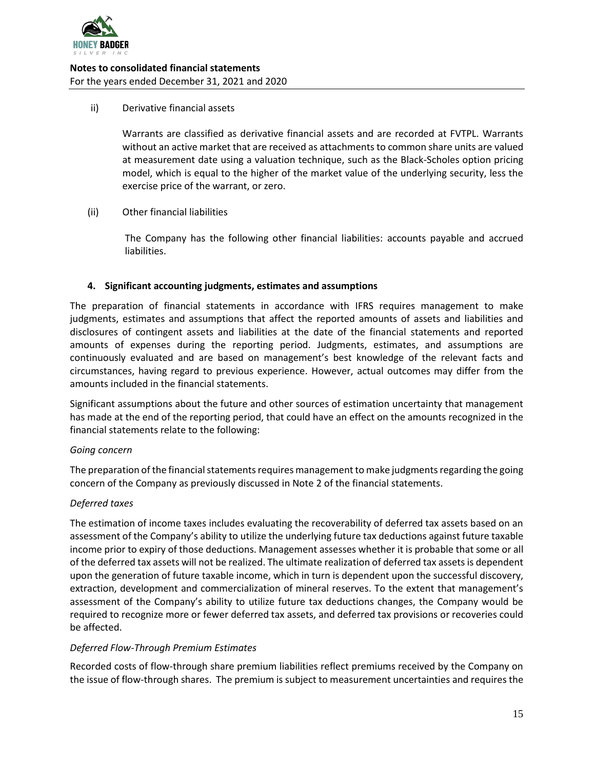

#### ii) Derivative financial assets

Warrants are classified as derivative financial assets and are recorded at FVTPL. Warrants without an active market that are received as attachments to common share units are valued at measurement date using a valuation technique, such as the Black-Scholes option pricing model, which is equal to the higher of the market value of the underlying security, less the exercise price of the warrant, or zero.

#### (ii) Other financial liabilities

The Company has the following other financial liabilities: accounts payable and accrued liabilities.

#### **4. Significant accounting judgments, estimates and assumptions**

The preparation of financial statements in accordance with IFRS requires management to make judgments, estimates and assumptions that affect the reported amounts of assets and liabilities and disclosures of contingent assets and liabilities at the date of the financial statements and reported amounts of expenses during the reporting period. Judgments, estimates, and assumptions are continuously evaluated and are based on management's best knowledge of the relevant facts and circumstances, having regard to previous experience. However, actual outcomes may differ from the amounts included in the financial statements.

Significant assumptions about the future and other sources of estimation uncertainty that management has made at the end of the reporting period, that could have an effect on the amounts recognized in the financial statements relate to the following:

#### *Going concern*

The preparation of the financial statements requires management to make judgments regarding the going concern of the Company as previously discussed in Note 2 of the financial statements.

#### *Deferred taxes*

The estimation of income taxes includes evaluating the recoverability of deferred tax assets based on an assessment of the Company's ability to utilize the underlying future tax deductions against future taxable income prior to expiry of those deductions. Management assesses whether it is probable that some or all of the deferred tax assets will not be realized. The ultimate realization of deferred tax assets is dependent upon the generation of future taxable income, which in turn is dependent upon the successful discovery, extraction, development and commercialization of mineral reserves. To the extent that management's assessment of the Company's ability to utilize future tax deductions changes, the Company would be required to recognize more or fewer deferred tax assets, and deferred tax provisions or recoveries could be affected.

#### *Deferred Flow-Through Premium Estimates*

Recorded costs of flow-through share premium liabilities reflect premiums received by the Company on the issue of flow-through shares. The premium is subject to measurement uncertainties and requires the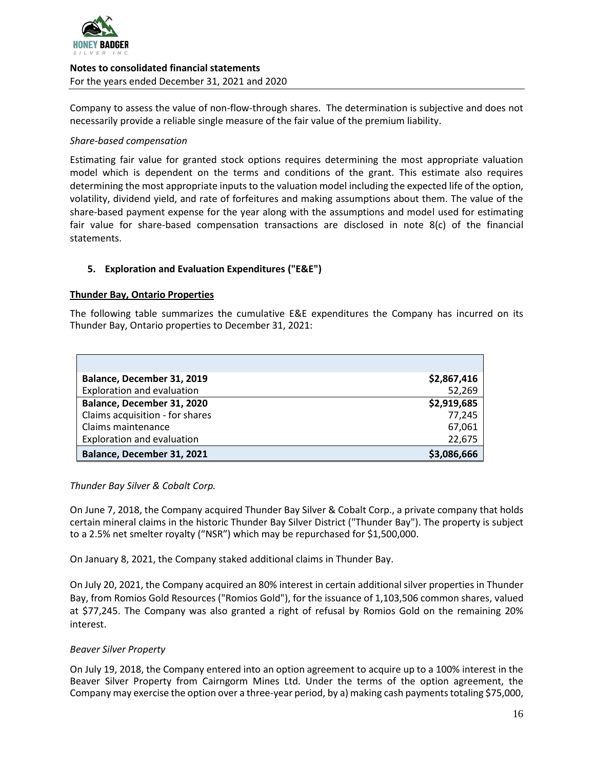

Company to assess the value of non-flow-through shares. The determination is subjective and does not necessarily provide a reliable single measure of the fair value of the premium liability.

#### *Share-based compensation*

Estimating fair value for granted stock options requires determining the most appropriate valuation model which is dependent on the terms and conditions of the grant. This estimate also requires determining the most appropriate inputs to the valuation model including the expected life of the option, volatility, dividend yield, and rate of forfeitures and making assumptions about them. The value of the share-based payment expense for the year along with the assumptions and model used for estimating fair value for share-based compensation transactions are disclosed in note 8(c) of the financial statements.

#### **5. Exploration and Evaluation Expenditures ("E&E")**

#### **Thunder Bay, Ontario Properties**

The following table summarizes the cumulative E&E expenditures the Company has incurred on its Thunder Bay, Ontario properties to December 31, 2021:

| Balance, December 31, 2019        | \$2,867,416 |
|-----------------------------------|-------------|
| Exploration and evaluation        | 52,269      |
| Balance, December 31, 2020        | \$2,919,685 |
| Claims acquisition - for shares   | 77,245      |
| Claims maintenance                | 67,061      |
| <b>Exploration and evaluation</b> | 22,675      |
| Balance, December 31, 2021        | \$3,086,666 |

*Thunder Bay Silver & Cobalt Corp.*

On June 7, 2018, the Company acquired Thunder Bay Silver & Cobalt Corp., a private company that holds certain mineral claims in the historic Thunder Bay Silver District ("Thunder Bay"). The property is subject to a 2.5% net smelter royalty ("NSR") which may be repurchased for \$1,500,000.

On January 8, 2021, the Company staked additional claims in Thunder Bay.

On July 20, 2021, the Company acquired an 80% interest in certain additional silver properties in Thunder Bay, from Romios Gold Resources ("Romios Gold"), for the issuance of 1,103,506 common shares, valued at \$77,245. The Company was also granted a right of refusal by Romios Gold on the remaining 20% interest.

#### *Beaver Silver Property*

On July 19, 2018, the Company entered into an option agreement to acquire up to a 100% interest in the Beaver Silver Property from Cairngorm Mines Ltd. Under the terms of the option agreement, the Company may exercise the option over a three-year period, by a) making cash payments totaling \$75,000,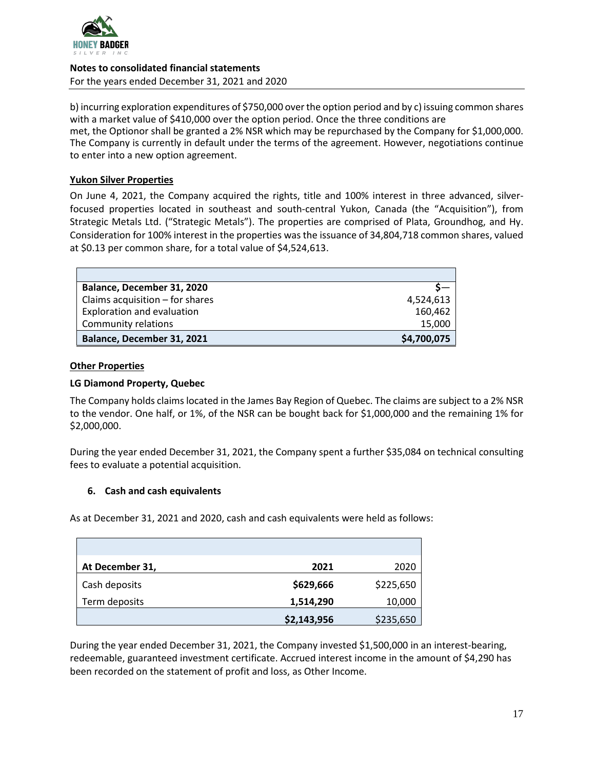

b) incurring exploration expenditures of \$750,000 over the option period and by c) issuing common shares with a market value of \$410,000 over the option period. Once the three conditions are met, the Optionor shall be granted a 2% NSR which may be repurchased by the Company for \$1,000,000. The Company is currently in default under the terms of the agreement. However, negotiations continue to enter into a new option agreement.

#### **Yukon Silver Properties**

On June 4, 2021, the Company acquired the rights, title and 100% interest in three advanced, silverfocused properties located in southeast and south-central Yukon, Canada (the "Acquisition"), from Strategic Metals Ltd. ("Strategic Metals"). The properties are comprised of Plata, Groundhog, and Hy. Consideration for 100% interest in the properties was the issuance of 34,804,718 common shares, valued at \$0.13 per common share, for a total value of \$4,524,613.

| Balance, December 31, 2020        |             |
|-----------------------------------|-------------|
| Claims acquisition – for shares   | 4,524,613   |
| <b>Exploration and evaluation</b> | 160,462     |
| Community relations               | 15,000      |
| Balance, December 31, 2021        | \$4,700,075 |

#### **Other Properties**

#### **LG Diamond Property, Quebec**

The Company holds claims located in the James Bay Region of Quebec. The claims are subject to a 2% NSR to the vendor. One half, or 1%, of the NSR can be bought back for \$1,000,000 and the remaining 1% for \$2,000,000.

During the year ended December 31, 2021, the Company spent a further \$35,084 on technical consulting fees to evaluate a potential acquisition.

#### **6. Cash and cash equivalents**

As at December 31, 2021 and 2020, cash and cash equivalents were held as follows:

| At December 31, | 2021        | 2020      |
|-----------------|-------------|-----------|
| Cash deposits   | \$629,666   | \$225,650 |
| Term deposits   | 1,514,290   | 10,000    |
|                 | \$2,143,956 | \$235,650 |

During the year ended December 31, 2021, the Company invested \$1,500,000 in an interest-bearing, redeemable, guaranteed investment certificate. Accrued interest income in the amount of \$4,290 has been recorded on the statement of profit and loss, as Other Income.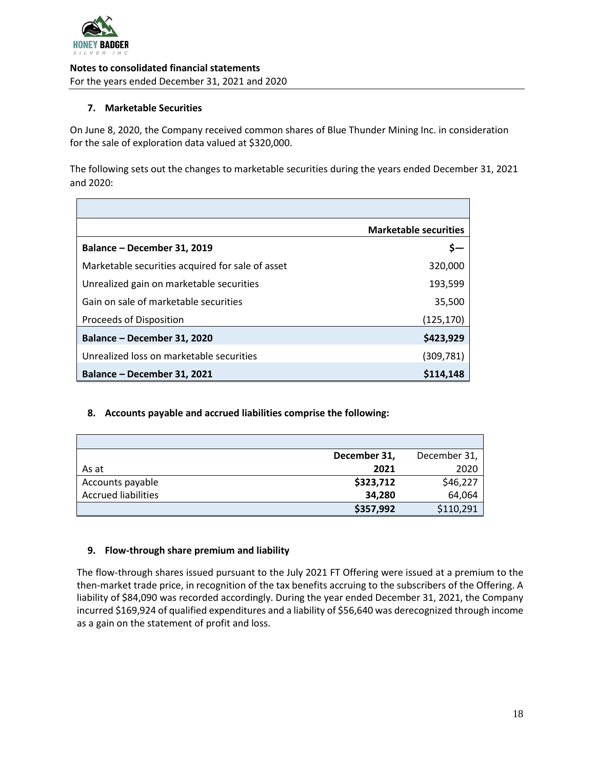

## **7. Marketable Securities**

On June 8, 2020, the Company received common shares of Blue Thunder Mining Inc. in consideration for the sale of exploration data valued at \$320,000.

The following sets out the changes to marketable securities during the years ended December 31, 2021 and 2020:

|                                                  | <b>Marketable securities</b> |
|--------------------------------------------------|------------------------------|
| Balance – December 31, 2019                      |                              |
| Marketable securities acquired for sale of asset | 320,000                      |
| Unrealized gain on marketable securities         | 193,599                      |
| Gain on sale of marketable securities            | 35,500                       |
| Proceeds of Disposition                          | (125, 170)                   |
| Balance – December 31, 2020                      | \$423,929                    |
| Unrealized loss on marketable securities         | (309,781)                    |
| Balance – December 31, 2021                      | S114.148                     |

# **8. Accounts payable and accrued liabilities comprise the following:**

|                            | December 31, | December 31, |
|----------------------------|--------------|--------------|
| As at                      | 2021         | 2020         |
| Accounts payable           | \$323,712    | \$46,227     |
| <b>Accrued liabilities</b> | 34,280       | 64,064       |
|                            | \$357,992    | \$110,291    |

# **9. Flow-through share premium and liability**

The flow-through shares issued pursuant to the July 2021 FT Offering were issued at a premium to the then-market trade price, in recognition of the tax benefits accruing to the subscribers of the Offering. A liability of \$84,090 was recorded accordingly. During the year ended December 31, 2021, the Company incurred \$169,924 of qualified expenditures and a liability of \$56,640 was derecognized through income as a gain on the statement of profit and loss.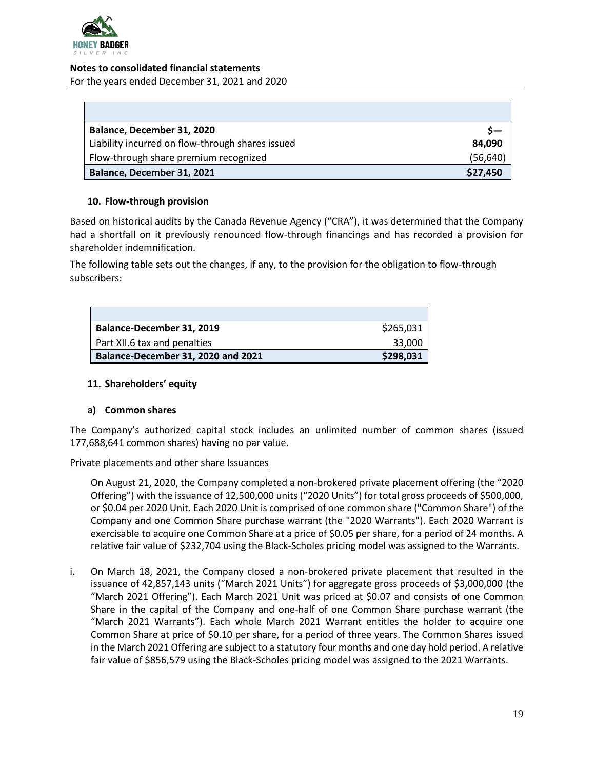

#### **Notes to consolidated financial statements**

For the years ended December 31, 2021 and 2020

| Balance, December 31, 2020                       |           |
|--------------------------------------------------|-----------|
| Liability incurred on flow-through shares issued | 84,090    |
| Flow-through share premium recognized            | (56, 640) |
| Balance, December 31, 2021                       | \$27,450  |

#### **10. Flow-through provision**

Based on historical audits by the Canada Revenue Agency ("CRA"), it was determined that the Company had a shortfall on it previously renounced flow-through financings and has recorded a provision for shareholder indemnification.

The following table sets out the changes, if any, to the provision for the obligation to flow-through subscribers:

| Balance-December 31, 2019          | \$265,031 |
|------------------------------------|-----------|
| Part XII.6 tax and penalties       | 33,000    |
| Balance-December 31, 2020 and 2021 | \$298,031 |

#### **11. Shareholders' equity**

#### **a) Common shares**

The Company's authorized capital stock includes an unlimited number of common shares (issued 177,688,641 common shares) having no par value.

#### Private placements and other share Issuances

On August 21, 2020, the Company completed a non-brokered private placement offering (the "2020 Offering") with the issuance of 12,500,000 units ("2020 Units") for total gross proceeds of \$500,000, or \$0.04 per 2020 Unit. Each 2020 Unit is comprised of one common share ("Common Share") of the Company and one Common Share purchase warrant (the "2020 Warrants"). Each 2020 Warrant is exercisable to acquire one Common Share at a price of \$0.05 per share, for a period of 24 months. A relative fair value of \$232,704 using the Black-Scholes pricing model was assigned to the Warrants.

i. On March 18, 2021, the Company closed a non-brokered private placement that resulted in the issuance of 42,857,143 units ("March 2021 Units") for aggregate gross proceeds of \$3,000,000 (the "March 2021 Offering"). Each March 2021 Unit was priced at \$0.07 and consists of one Common Share in the capital of the Company and one-half of one Common Share purchase warrant (the "March 2021 Warrants"). Each whole March 2021 Warrant entitles the holder to acquire one Common Share at price of \$0.10 per share, for a period of three years. The Common Shares issued in the March 2021 Offering are subject to a statutory four months and one day hold period. A relative fair value of \$856,579 using the Black-Scholes pricing model was assigned to the 2021 Warrants.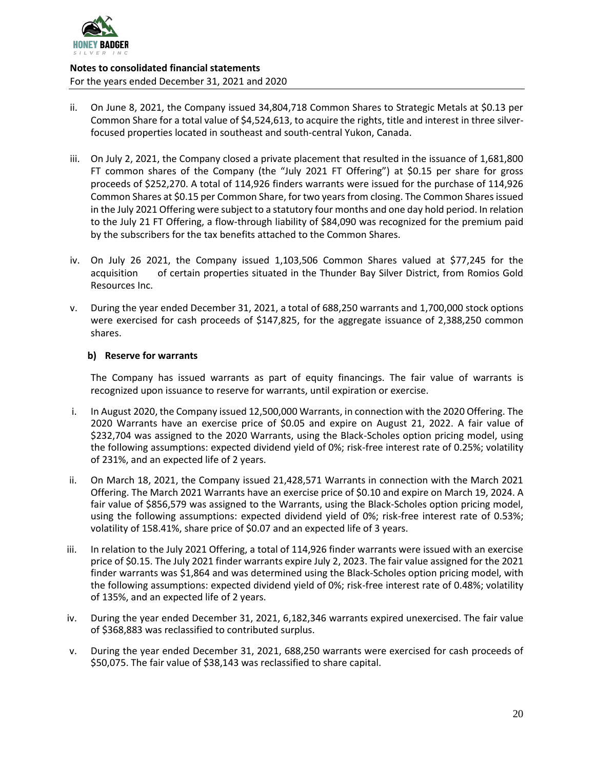

- ii. On June 8, 2021, the Company issued 34,804,718 Common Shares to Strategic Metals at \$0.13 per Common Share for a total value of \$4,524,613, to acquire the rights, title and interest in three silverfocused properties located in southeast and south-central Yukon, Canada.
- iii. On July 2, 2021, the Company closed a private placement that resulted in the issuance of 1,681,800 FT common shares of the Company (the "July 2021 FT Offering") at \$0.15 per share for gross proceeds of \$252,270. A total of 114,926 finders warrants were issued for the purchase of 114,926 Common Shares at \$0.15 per Common Share, for two years from closing. The Common Shares issued in the July 2021 Offering were subject to a statutory four months and one day hold period. In relation to the July 21 FT Offering, a flow-through liability of \$84,090 was recognized for the premium paid by the subscribers for the tax benefits attached to the Common Shares.
- iv. On July 26 2021, the Company issued 1,103,506 Common Shares valued at \$77,245 for the acquisition of certain properties situated in the Thunder Bay Silver District, from Romios Gold Resources Inc.
- v. During the year ended December 31, 2021, a total of 688,250 warrants and 1,700,000 stock options were exercised for cash proceeds of \$147,825, for the aggregate issuance of 2,388,250 common shares.

#### **b) Reserve for warrants**

The Company has issued warrants as part of equity financings. The fair value of warrants is recognized upon issuance to reserve for warrants, until expiration or exercise.

- i. In August 2020, the Company issued 12,500,000 Warrants, in connection with the 2020 Offering. The 2020 Warrants have an exercise price of \$0.05 and expire on August 21, 2022. A fair value of \$232,704 was assigned to the 2020 Warrants, using the Black-Scholes option pricing model, using the following assumptions: expected dividend yield of 0%; risk-free interest rate of 0.25%; volatility of 231%, and an expected life of 2 years.
- ii. On March 18, 2021, the Company issued 21,428,571 Warrants in connection with the March 2021 Offering. The March 2021 Warrants have an exercise price of \$0.10 and expire on March 19, 2024. A fair value of \$856,579 was assigned to the Warrants, using the Black-Scholes option pricing model, using the following assumptions: expected dividend yield of 0%; risk-free interest rate of 0.53%; volatility of 158.41%, share price of \$0.07 and an expected life of 3 years.
- iii. In relation to the July 2021 Offering, a total of 114,926 finder warrants were issued with an exercise price of \$0.15. The July 2021 finder warrants expire July 2, 2023. The fair value assigned for the 2021 finder warrants was \$1,864 and was determined using the Black-Scholes option pricing model, with the following assumptions: expected dividend yield of 0%; risk-free interest rate of 0.48%; volatility of 135%, and an expected life of 2 years.
- iv. During the year ended December 31, 2021, 6,182,346 warrants expired unexercised. The fair value of \$368,883 was reclassified to contributed surplus.
- v. During the year ended December 31, 2021, 688,250 warrants were exercised for cash proceeds of \$50,075. The fair value of \$38,143 was reclassified to share capital.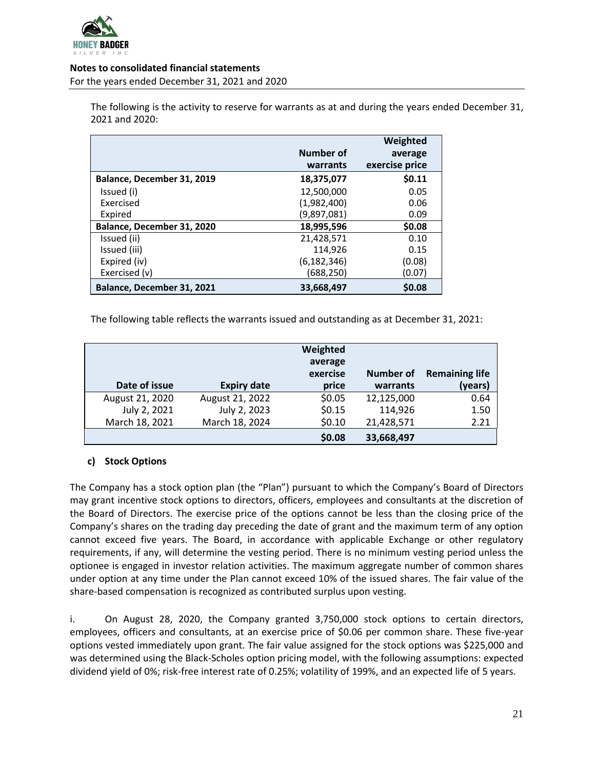

# **Notes to consolidated financial statements**

For the years ended December 31, 2021 and 2020

The following is the activity to reserve for warrants as at and during the years ended December 31, 2021 and 2020:

|                            |               | Weighted       |
|----------------------------|---------------|----------------|
|                            | Number of     | average        |
|                            | warrants      | exercise price |
| Balance, December 31, 2019 | 18,375,077    | \$0.11         |
| Issued (i)                 | 12,500,000    | 0.05           |
| Exercised                  | (1,982,400)   | 0.06           |
| Expired                    | (9,897,081)   | 0.09           |
| Balance, December 31, 2020 | 18,995,596    | \$0.08         |
| Issued (ii)                | 21,428,571    | 0.10           |
| Issued (iii)               | 114,926       | 0.15           |
| Expired (iv)               | (6, 182, 346) | (0.08)         |
| Exercised (v)              | (688, 250)    | (0.07)         |
| Balance, December 31, 2021 | 33,668,497    | \$0.08         |

The following table reflects the warrants issued and outstanding as at December 31, 2021:

| Date of issue   | <b>Expiry date</b> | Weighted<br>average<br>exercise<br>price | Number of<br>warrants | <b>Remaining life</b><br>(years) |
|-----------------|--------------------|------------------------------------------|-----------------------|----------------------------------|
| August 21, 2020 | August 21, 2022    | \$0.05                                   | 12,125,000            | 0.64                             |
| July 2, 2021    | July 2, 2023       | \$0.15                                   | 114,926               | 1.50                             |
| March 18, 2021  | March 18, 2024     | \$0.10                                   | 21,428,571            | 2.21                             |
|                 |                    | \$0.08                                   | 33,668,497            |                                  |

# **c) Stock Options**

The Company has a stock option plan (the "Plan") pursuant to which the Company's Board of Directors may grant incentive stock options to directors, officers, employees and consultants at the discretion of the Board of Directors. The exercise price of the options cannot be less than the closing price of the Company's shares on the trading day preceding the date of grant and the maximum term of any option cannot exceed five years. The Board, in accordance with applicable Exchange or other regulatory requirements, if any, will determine the vesting period. There is no minimum vesting period unless the optionee is engaged in investor relation activities. The maximum aggregate number of common shares under option at any time under the Plan cannot exceed 10% of the issued shares. The fair value of the share-based compensation is recognized as contributed surplus upon vesting.

i. On August 28, 2020, the Company granted 3,750,000 stock options to certain directors, employees, officers and consultants, at an exercise price of \$0.06 per common share. These five-year options vested immediately upon grant. The fair value assigned for the stock options was \$225,000 and was determined using the Black-Scholes option pricing model, with the following assumptions: expected dividend yield of 0%; risk-free interest rate of 0.25%; volatility of 199%, and an expected life of 5 years.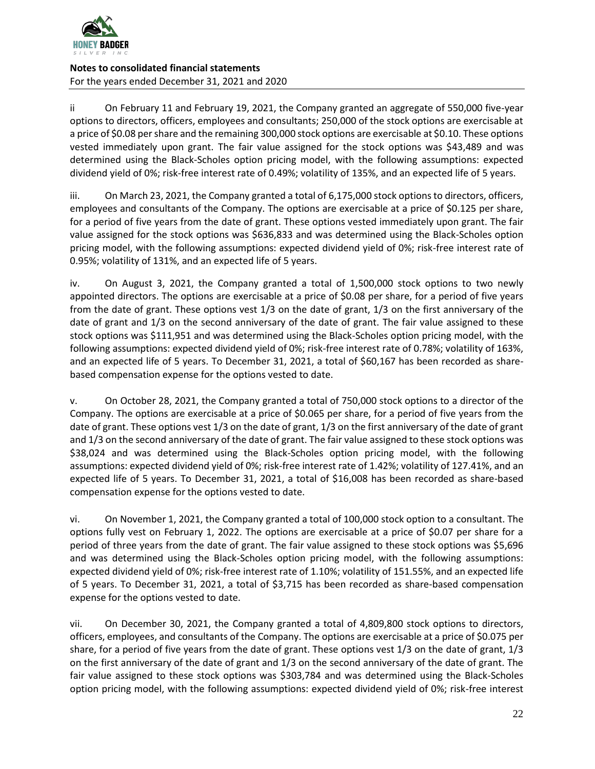

ii On February 11 and February 19, 2021, the Company granted an aggregate of 550,000 five-year options to directors, officers, employees and consultants; 250,000 of the stock options are exercisable at a price of \$0.08 per share and the remaining 300,000 stock options are exercisable at \$0.10. These options vested immediately upon grant. The fair value assigned for the stock options was \$43,489 and was determined using the Black-Scholes option pricing model, with the following assumptions: expected dividend yield of 0%; risk-free interest rate of 0.49%; volatility of 135%, and an expected life of 5 years.

iii. On March 23, 2021, the Company granted a total of 6,175,000 stock options to directors, officers, employees and consultants of the Company. The options are exercisable at a price of \$0.125 per share, for a period of five years from the date of grant. These options vested immediately upon grant. The fair value assigned for the stock options was \$636,833 and was determined using the Black-Scholes option pricing model, with the following assumptions: expected dividend yield of 0%; risk-free interest rate of 0.95%; volatility of 131%, and an expected life of 5 years.

iv. On August 3, 2021, the Company granted a total of 1,500,000 stock options to two newly appointed directors. The options are exercisable at a price of \$0.08 per share, for a period of five years from the date of grant. These options vest 1/3 on the date of grant, 1/3 on the first anniversary of the date of grant and 1/3 on the second anniversary of the date of grant. The fair value assigned to these stock options was \$111,951 and was determined using the Black-Scholes option pricing model, with the following assumptions: expected dividend yield of 0%; risk-free interest rate of 0.78%; volatility of 163%, and an expected life of 5 years. To December 31, 2021, a total of \$60,167 has been recorded as sharebased compensation expense for the options vested to date.

v. On October 28, 2021, the Company granted a total of 750,000 stock options to a director of the Company. The options are exercisable at a price of \$0.065 per share, for a period of five years from the date of grant. These options vest 1/3 on the date of grant, 1/3 on the first anniversary of the date of grant and 1/3 on the second anniversary of the date of grant. The fair value assigned to these stock options was \$38,024 and was determined using the Black-Scholes option pricing model, with the following assumptions: expected dividend yield of 0%; risk-free interest rate of 1.42%; volatility of 127.41%, and an expected life of 5 years. To December 31, 2021, a total of \$16,008 has been recorded as share-based compensation expense for the options vested to date.

vi. On November 1, 2021, the Company granted a total of 100,000 stock option to a consultant. The options fully vest on February 1, 2022. The options are exercisable at a price of \$0.07 per share for a period of three years from the date of grant. The fair value assigned to these stock options was \$5,696 and was determined using the Black-Scholes option pricing model, with the following assumptions: expected dividend yield of 0%; risk-free interest rate of 1.10%; volatility of 151.55%, and an expected life of 5 years. To December 31, 2021, a total of \$3,715 has been recorded as share-based compensation expense for the options vested to date.

vii. On December 30, 2021, the Company granted a total of 4,809,800 stock options to directors, officers, employees, and consultants of the Company. The options are exercisable at a price of \$0.075 per share, for a period of five years from the date of grant. These options vest 1/3 on the date of grant, 1/3 on the first anniversary of the date of grant and 1/3 on the second anniversary of the date of grant. The fair value assigned to these stock options was \$303,784 and was determined using the Black-Scholes option pricing model, with the following assumptions: expected dividend yield of 0%; risk-free interest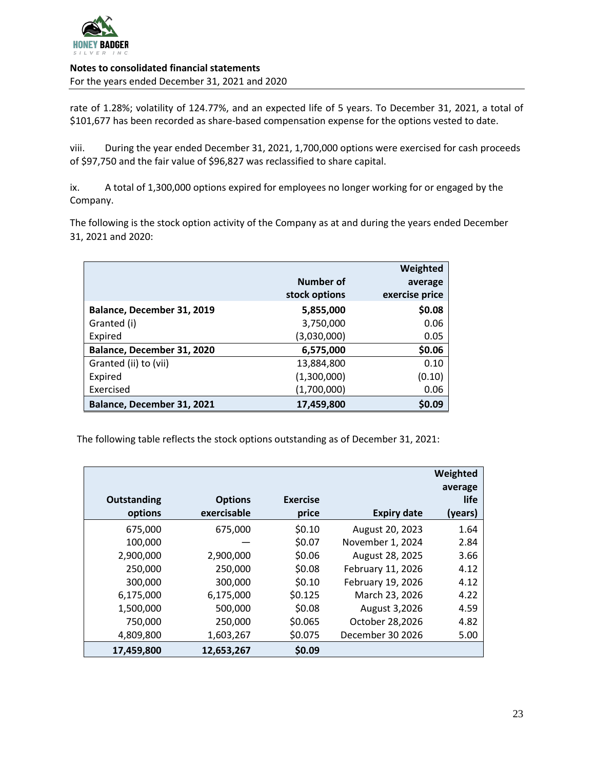rate of 1.28%; volatility of 124.77%, and an expected life of 5 years. To December 31, 2021, a total of \$101,677 has been recorded as share-based compensation expense for the options vested to date.

viii. During the year ended December 31, 2021, 1,700,000 options were exercised for cash proceeds of \$97,750 and the fair value of \$96,827 was reclassified to share capital.

ix. A total of 1,300,000 options expired for employees no longer working for or engaged by the Company.

The following is the stock option activity of the Company as at and during the years ended December 31, 2021 and 2020:

|                            |               | Weighted       |
|----------------------------|---------------|----------------|
|                            | Number of     | average        |
|                            | stock options | exercise price |
| Balance, December 31, 2019 | 5,855,000     | \$0.08         |
| Granted (i)                | 3,750,000     | 0.06           |
| Expired                    | (3,030,000)   | 0.05           |
| Balance, December 31, 2020 | 6,575,000     | \$0.06         |
| Granted (ii) to (vii)      | 13,884,800    | 0.10           |
| Expired                    | (1,300,000)   | (0.10)         |
| Exercised                  | (1,700,000)   | 0.06           |
| Balance, December 31, 2021 | 17,459,800    | \$0.09         |

The following table reflects the stock options outstanding as of December 31, 2021:

| <b>Outstanding</b> | <b>Options</b><br>exercisable | <b>Exercise</b> |                    | Weighted<br>average<br>life |
|--------------------|-------------------------------|-----------------|--------------------|-----------------------------|
| options            |                               | price           | <b>Expiry date</b> | (years)                     |
| 675,000            | 675,000                       | \$0.10          | August 20, 2023    | 1.64                        |
| 100,000            |                               | \$0.07          | November 1, 2024   | 2.84                        |
| 2,900,000          | 2,900,000                     | \$0.06          | August 28, 2025    | 3.66                        |
| 250,000            | 250,000                       | \$0.08          | February 11, 2026  | 4.12                        |
| 300,000            | 300,000                       | \$0.10          | February 19, 2026  | 4.12                        |
| 6,175,000          | 6,175,000                     | \$0.125         | March 23, 2026     | 4.22                        |
| 1,500,000          | 500,000                       | \$0.08          | August 3,2026      | 4.59                        |
| 750,000            | 250,000                       | \$0.065         | October 28,2026    | 4.82                        |
| 4,809,800          | 1,603,267                     | \$0.075         | December 30 2026   | 5.00                        |
| 17,459,800         | 12,653,267                    | \$0.09          |                    |                             |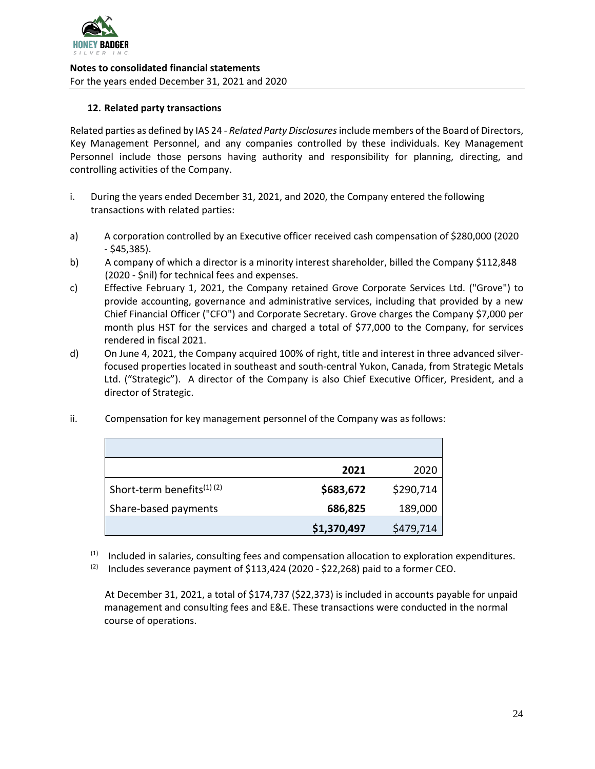

#### **12. Related party transactions**

Related parties as defined by IAS 24 - *Related Party Disclosures*include members of the Board of Directors, Key Management Personnel, and any companies controlled by these individuals. Key Management Personnel include those persons having authority and responsibility for planning, directing, and controlling activities of the Company.

- i. During the years ended December 31, 2021, and 2020, the Company entered the following transactions with related parties:
- a) A corporation controlled by an Executive officer received cash compensation of \$280,000 (2020 - \$45,385).
- b) A company of which a director is a minority interest shareholder, billed the Company \$112,848 (2020 - \$nil) for technical fees and expenses.
- c) Effective February 1, 2021, the Company retained Grove Corporate Services Ltd. ("Grove") to provide accounting, governance and administrative services, including that provided by a new Chief Financial Officer ("CFO") and Corporate Secretary. Grove charges the Company \$7,000 per month plus HST for the services and charged a total of \$77,000 to the Company, for services rendered in fiscal 2021.
- d) On June 4, 2021, the Company acquired 100% of right, title and interest in three advanced silverfocused properties located in southeast and south-central Yukon, Canada, from Strategic Metals Ltd. ("Strategic"). A director of the Company is also Chief Executive Officer, President, and a director of Strategic.
- ii. Compensation for key management personnel of the Company was as follows:

|                                        | 2021        | 2020      |
|----------------------------------------|-------------|-----------|
| Short-term benefits <sup>(1)</sup> (2) | \$683,672   | \$290,714 |
| Share-based payments                   | 686,825     | 189,000   |
|                                        | \$1,370,497 | \$479,714 |

 $(1)$  Included in salaries, consulting fees and compensation allocation to exploration expenditures.

 $(2)$  Includes severance payment of \$113,424 (2020 - \$22,268) paid to a former CEO.

At December 31, 2021, a total of \$174,737 (\$22,373) is included in accounts payable for unpaid management and consulting fees and E&E. These transactions were conducted in the normal course of operations.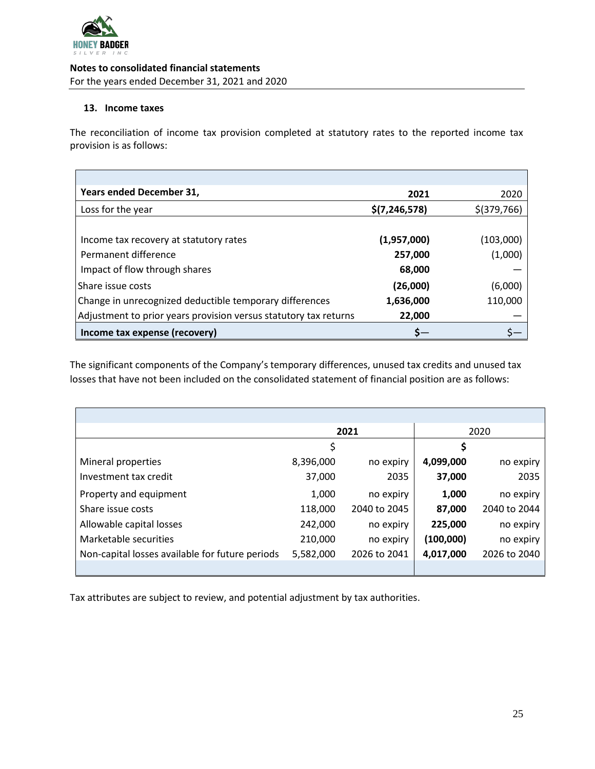

#### **13. Income taxes**

The reconciliation of income tax provision completed at statutory rates to the reported income tax provision is as follows:

| Years ended December 31,                                         | 2021            | 2020          |
|------------------------------------------------------------------|-----------------|---------------|
| Loss for the year                                                | \$(7, 246, 578) | $$$ (379,766) |
|                                                                  |                 |               |
| Income tax recovery at statutory rates                           | (1,957,000)     | (103,000)     |
| Permanent difference                                             | 257,000         | (1,000)       |
| Impact of flow through shares                                    | 68,000          |               |
| Share issue costs                                                | (26,000)        | (6,000)       |
| Change in unrecognized deductible temporary differences          | 1,636,000       | 110,000       |
| Adjustment to prior years provision versus statutory tax returns | 22,000          |               |
| Income tax expense (recovery)                                    |                 |               |

The significant components of the Company's temporary differences, unused tax credits and unused tax losses that have not been included on the consolidated statement of financial position are as follows:

|                                                 | 2021      |              | 2020      |              |
|-------------------------------------------------|-----------|--------------|-----------|--------------|
|                                                 | \$        |              | \$        |              |
| Mineral properties                              | 8,396,000 | no expiry    | 4,099,000 | no expiry    |
| Investment tax credit                           | 37,000    | 2035         | 37,000    | 2035         |
| Property and equipment                          | 1,000     | no expiry    | 1,000     | no expiry    |
| Share issue costs                               | 118,000   | 2040 to 2045 | 87,000    | 2040 to 2044 |
| Allowable capital losses                        | 242,000   | no expiry    | 225,000   | no expiry    |
| Marketable securities                           | 210,000   | no expiry    | (100,000) | no expiry    |
| Non-capital losses available for future periods | 5,582,000 | 2026 to 2041 | 4,017,000 | 2026 to 2040 |
|                                                 |           |              |           |              |

Tax attributes are subject to review, and potential adjustment by tax authorities.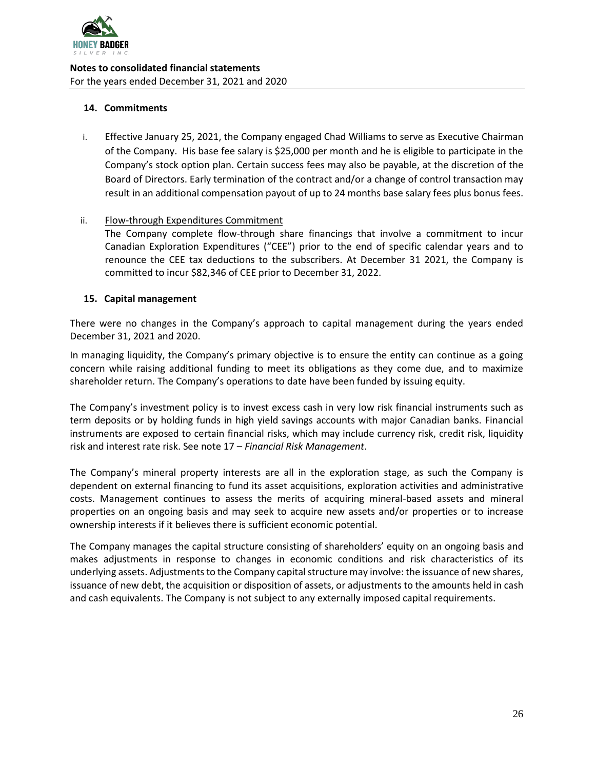

#### **14. Commitments**

i. Effective January 25, 2021, the Company engaged Chad Williams to serve as Executive Chairman of the Company. His base fee salary is \$25,000 per month and he is eligible to participate in the Company's stock option plan. Certain success fees may also be payable, at the discretion of the Board of Directors. Early termination of the contract and/or a change of control transaction may result in an additional compensation payout of up to 24 months base salary fees plus bonus fees.

#### ii. Flow-through Expenditures Commitment

The Company complete flow-through share financings that involve a commitment to incur Canadian Exploration Expenditures ("CEE") prior to the end of specific calendar years and to renounce the CEE tax deductions to the subscribers. At December 31 2021, the Company is committed to incur \$82,346 of CEE prior to December 31, 2022.

#### **15. Capital management**

There were no changes in the Company's approach to capital management during the years ended December 31, 2021 and 2020.

In managing liquidity, the Company's primary objective is to ensure the entity can continue as a going concern while raising additional funding to meet its obligations as they come due, and to maximize shareholder return. The Company's operations to date have been funded by issuing equity.

The Company's investment policy is to invest excess cash in very low risk financial instruments such as term deposits or by holding funds in high yield savings accounts with major Canadian banks. Financial instruments are exposed to certain financial risks, which may include currency risk, credit risk, liquidity risk and interest rate risk. See note 17 – *Financial Risk Management*.

The Company's mineral property interests are all in the exploration stage, as such the Company is dependent on external financing to fund its asset acquisitions, exploration activities and administrative costs. Management continues to assess the merits of acquiring mineral-based assets and mineral properties on an ongoing basis and may seek to acquire new assets and/or properties or to increase ownership interests if it believes there is sufficient economic potential.

The Company manages the capital structure consisting of shareholders' equity on an ongoing basis and makes adjustments in response to changes in economic conditions and risk characteristics of its underlying assets. Adjustments to the Company capital structure may involve: the issuance of new shares, issuance of new debt, the acquisition or disposition of assets, or adjustments to the amounts held in cash and cash equivalents. The Company is not subject to any externally imposed capital requirements.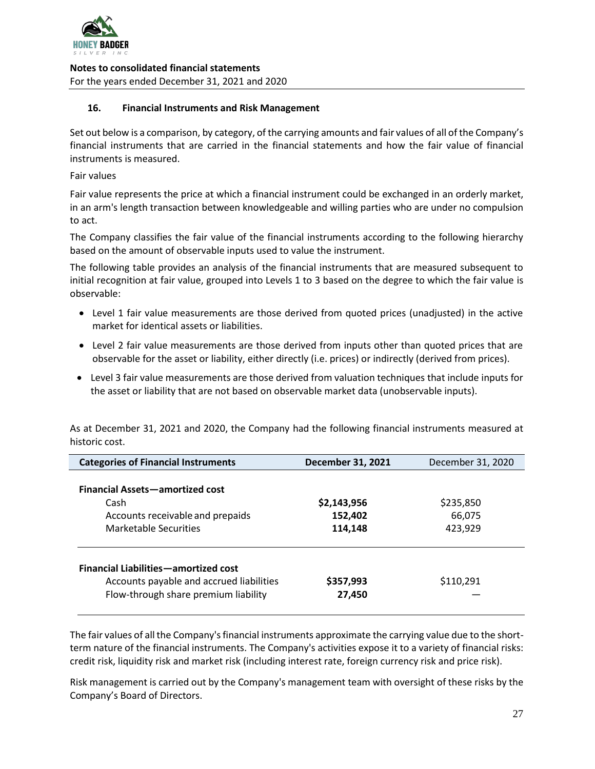

## **16. Financial Instruments and Risk Management**

Set out below is a comparison, by category, of the carrying amounts and fair values of all of the Company's financial instruments that are carried in the financial statements and how the fair value of financial instruments is measured.

Fair values

Fair value represents the price at which a financial instrument could be exchanged in an orderly market, in an arm's length transaction between knowledgeable and willing parties who are under no compulsion to act.

The Company classifies the fair value of the financial instruments according to the following hierarchy based on the amount of observable inputs used to value the instrument.

The following table provides an analysis of the financial instruments that are measured subsequent to initial recognition at fair value, grouped into Levels 1 to 3 based on the degree to which the fair value is observable:

- Level 1 fair value measurements are those derived from quoted prices (unadjusted) in the active market for identical assets or liabilities.
- Level 2 fair value measurements are those derived from inputs other than quoted prices that are observable for the asset or liability, either directly (i.e. prices) or indirectly (derived from prices).
- Level 3 fair value measurements are those derived from valuation techniques that include inputs for the asset or liability that are not based on observable market data (unobservable inputs).

| <b>Categories of Financial Instruments</b> | December 31, 2021 | December 31, 2020 |
|--------------------------------------------|-------------------|-------------------|
|                                            |                   |                   |
| Financial Assets-amortized cost            |                   |                   |
| Cash                                       | \$2,143,956       | \$235,850         |
| Accounts receivable and prepaids           | 152,402           | 66,075            |
| Marketable Securities                      | 114,148           | 423,929           |
| Financial Liabilities-amortized cost       |                   |                   |
| Accounts payable and accrued liabilities   | \$357,993         | \$110,291         |
| Flow-through share premium liability       | 27,450            |                   |

As at December 31, 2021 and 2020, the Company had the following financial instruments measured at historic cost.

The fair values of all the Company's financial instruments approximate the carrying value due to the shortterm nature of the financial instruments. The Company's activities expose it to a variety of financial risks: credit risk, liquidity risk and market risk (including interest rate, foreign currency risk and price risk).

Risk management is carried out by the Company's management team with oversight of these risks by the Company's Board of Directors.